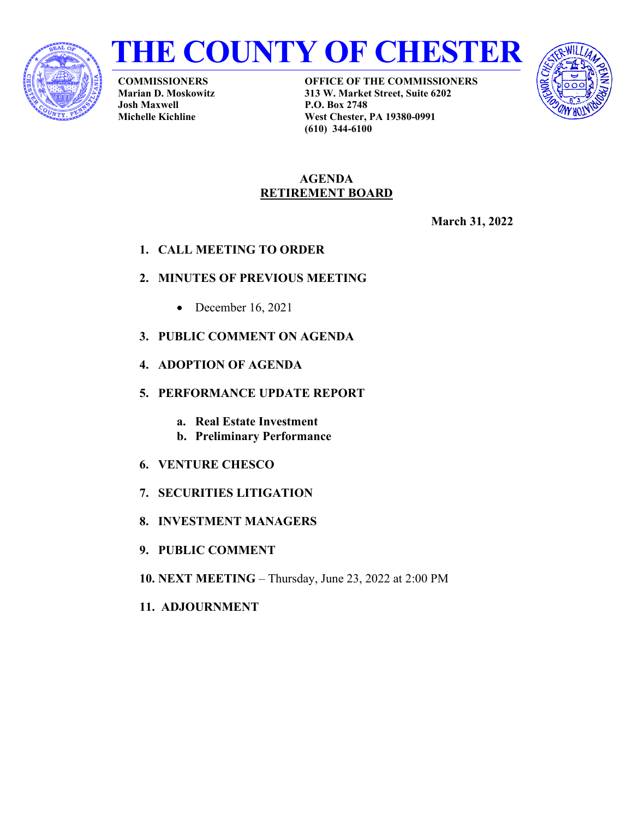



**COMMISSIONERS Marian D. Moskowitz Josh Maxwell Michelle Kichline**

**OFFICE OF THE COMMISSIONERS 313 W. Market Street, Suite 6202 P.O. Box 2748 West Chester, PA 19380-0991 (610) 344-6100**



#### **AGENDA RETIREMENT BOARD**

**March 31, 2022**

**1. CALL MEETING TO ORDER**

# **2. MINUTES OF PREVIOUS MEETING**

- December 16, 2021
- **3. PUBLIC COMMENT ON AGENDA**
- **4. ADOPTION OF AGENDA**
- **5. PERFORMANCE UPDATE REPORT**
	- **a. Real Estate Investment**
	- **b. Preliminary Performance**
- **6. VENTURE CHESCO**
- **7. SECURITIES LITIGATION**
- **8. INVESTMENT MANAGERS**
- **9. PUBLIC COMMENT**
- **10. NEXT MEETING** Thursday, June 23, 2022 at 2:00 PM
- **11. ADJOURNMENT**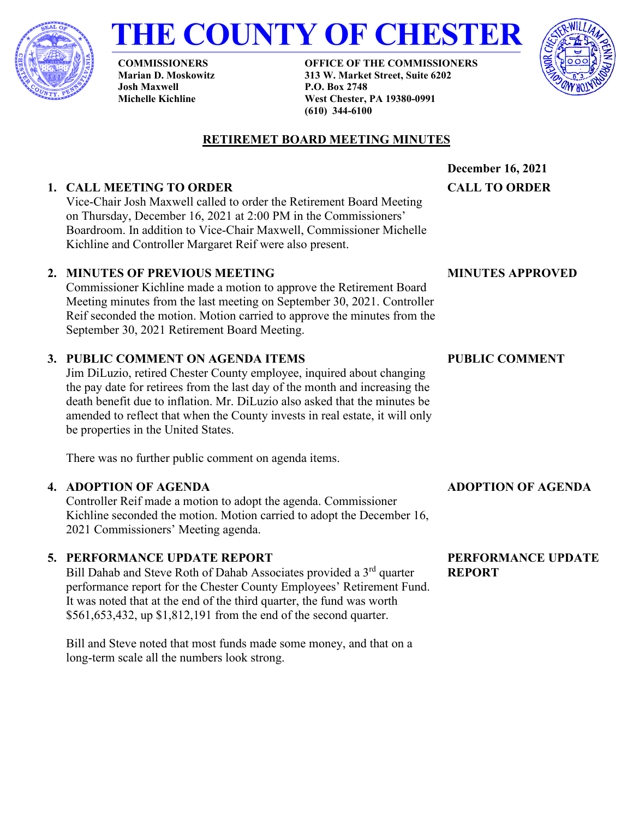

# **THE COUNTY OF CHESTER**

**COMMISSIONERS Marian D. Moskowitz Josh Maxwell Michelle Kichline**

**OFFICE OF THE COMMISSIONERS 313 W. Market Street, Suite 6202 P.O. Box 2748 West Chester, PA 19380-0991 (610) 344-6100**



# **RETIREMET BOARD MEETING MINUTES**

# **1. CALL MEETING TO ORDER**

Vice-Chair Josh Maxwell called to order the Retirement Board Meeting on Thursday, December 16, 2021 at 2:00 PM in the Commissioners' Boardroom. In addition to Vice-Chair Maxwell, Commissioner Michelle Kichline and Controller Margaret Reif were also present.

## **2. MINUTES OF PREVIOUS MEETING**

Commissioner Kichline made a motion to approve the Retirement Board Meeting minutes from the last meeting on September 30, 2021. Controller Reif seconded the motion. Motion carried to approve the minutes from the September 30, 2021 Retirement Board Meeting.

# **3. PUBLIC COMMENT ON AGENDA ITEMS**

Jim DiLuzio, retired Chester County employee, inquired about changing the pay date for retirees from the last day of the month and increasing the death benefit due to inflation. Mr. DiLuzio also asked that the minutes be amended to reflect that when the County invests in real estate, it will only be properties in the United States.

There was no further public comment on agenda items.

#### **4. ADOPTION OF AGENDA**

Controller Reif made a motion to adopt the agenda. Commissioner Kichline seconded the motion. Motion carried to adopt the December 16, 2021 Commissioners' Meeting agenda.

# **5. PERFORMANCE UPDATE REPORT**

Bill Dahab and Steve Roth of Dahab Associates provided a 3<sup>rd</sup> quarter performance report for the Chester County Employees' Retirement Fund. It was noted that at the end of the third quarter, the fund was worth \$561,653,432, up \$1,812,191 from the end of the second quarter.

Bill and Steve noted that most funds made some money, and that on a long-term scale all the numbers look strong.

**December 16, 2021**

**CALL TO ORDER**

#### **MINUTES APPROVED**

## **PUBLIC COMMENT**

# **ADOPTION OF AGENDA**

#### **PERFORMANCE UPDATE REPORT**